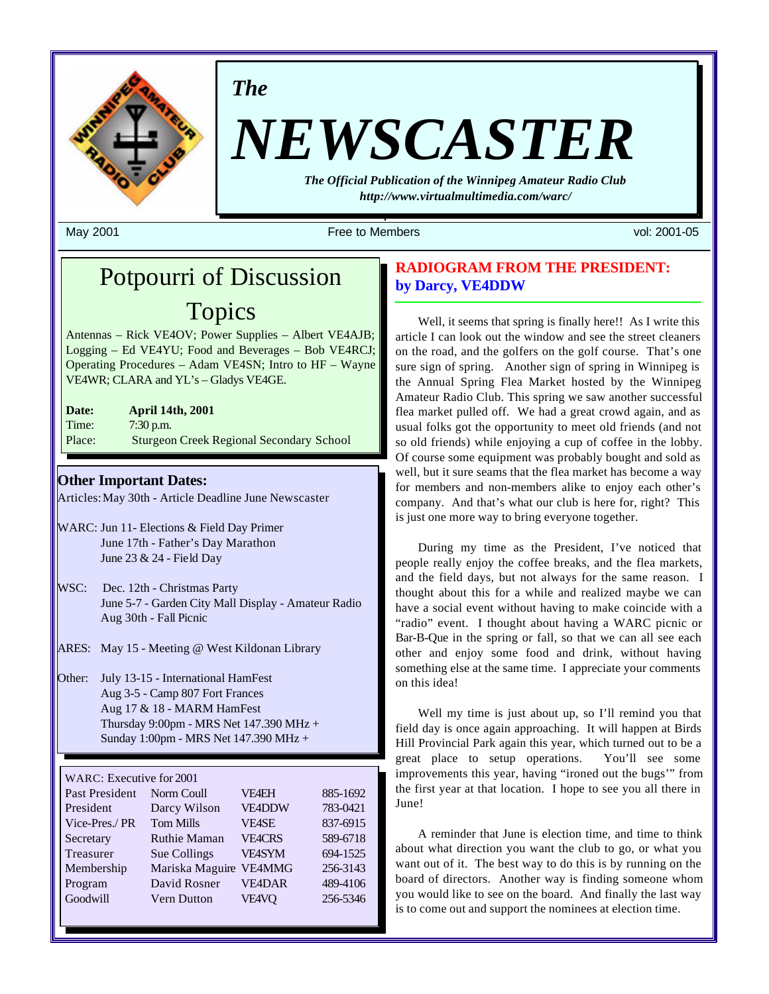

*The*

# *NEWSCASTER*

*The Official Publication of the Winnipeg Amateur Radio Club http://www.virtualmultimedia.com/warc/*

May 2001 **Free to Members** vol: 2001-05 vol: 2001-05

## Potpourri of Discussion Topics

Antennas – Rick VE4OV; Power Supplies – Albert VE4AJB; Logging – Ed VE4YU; Food and Beverages – Bob VE4RCJ; Operating Procedures – Adam VE4SN; Intro to HF – Wayne VE4WR; CLARA and YL's – Gladys VE4GE.

| Date:  | <b>April 14th, 2001</b>                         |
|--------|-------------------------------------------------|
| Time:  | $7:30$ p.m.                                     |
| Place: | <b>Sturgeon Creek Regional Secondary School</b> |

**Other Important Dates:**

Articles: May 30th - Article Deadline June Newscaster

- WARC: Jun 11- Elections & Field Day Primer June 17th - Father's Day Marathon June 23 & 24 - Field Day
- WSC: Dec. 12th Christmas Party June 5-7 - Garden City Mall Display - Amateur Radio Aug 30th - Fall Picnic
- ARES: May 15 Meeting @ West Kildonan Library

Other: July 13-15 - International HamFest Aug 3-5 - Camp 807 Fort Frances Aug 17 & 18 - MARM HamFest Thursday 9:00pm - MRS Net 147.390 MHz + Sunday 1:00pm - MRS Net 147.390 MHz +

#### WARC: Executive for 2001

| Norm Coull          | <b>VF4EH</b>  | 885-1692 |
|---------------------|---------------|----------|
| Darcy Wilson        | <b>VE4DDW</b> | 783-0421 |
| <b>Tom Mills</b>    | <b>VE4SE</b>  | 837-6915 |
| <b>Ruthie Maman</b> | <b>VE4CRS</b> | 589-6718 |
| Sue Collings        | VE4SYM        | 694-1525 |
| Mariska Maguire     | <b>VE4MMG</b> | 256-3143 |
| David Rosner        | <b>VE4DAR</b> | 489-4106 |
| <b>Vern Dutton</b>  | VE4VO         | 256-5346 |
|                     |               |          |

## **RADIOGRAM FROM THE PRESIDENT: by Darcy, VE4DDW**

Well, it seems that spring is finally here!! As I write this article I can look out the window and see the street cleaners on the road, and the golfers on the golf course. That's one sure sign of spring. Another sign of spring in Winnipeg is the Annual Spring Flea Market hosted by the Winnipeg Amateur Radio Club. This spring we saw another successful flea market pulled off. We had a great crowd again, and as usual folks got the opportunity to meet old friends (and not so old friends) while enjoying a cup of coffee in the lobby. Of course some equipment was probably bought and sold as well, but it sure seams that the flea market has become a way for members and non-members alike to enjoy each other's company. And that's what our club is here for, right? This is just one more way to bring everyone together.

During my time as the President, I've noticed that people really enjoy the coffee breaks, and the flea markets, and the field days, but not always for the same reason. I thought about this for a while and realized maybe we can have a social event without having to make coincide with a "radio" event. I thought about having a WARC picnic or Bar-B-Que in the spring or fall, so that we can all see each other and enjoy some food and drink, without having something else at the same time. I appreciate your comments on this idea!

Well my time is just about up, so I'll remind you that field day is once again approaching. It will happen at Birds Hill Provincial Park again this year, which turned out to be a great place to setup operations. You'll see some improvements this year, having "ironed out the bugs'" from the first year at that location. I hope to see you all there in June!

A reminder that June is election time, and time to think about what direction you want the club to go, or what you want out of it. The best way to do this is by running on the board of directors. Another way is finding someone whom you would like to see on the board. And finally the last way is to come out and support the nominees at election time.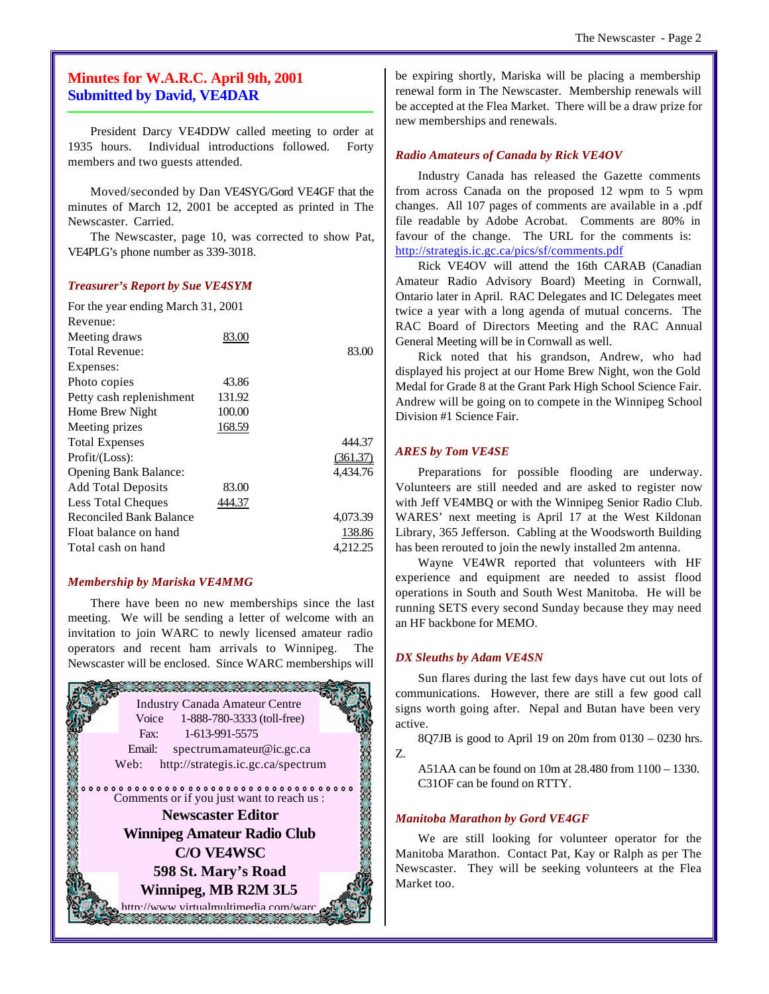## **Minutes for W.A.R.C. April 9th, 2001 Submitted by David, VE4DAR**

President Darcy VE4DDW called meeting to order at 1935 hours. Individual introductions followed. Forty members and two guests attended.

Moved/seconded by Dan VE4SYG/Gord VE4GF that the minutes of March 12, 2001 be accepted as printed in The Newscaster. Carried.

The Newscaster, page 10, was corrected to show Pat, VE4PLG's phone number as 339-3018.

#### *Treasurer's Report by Sue VE4SYM*

| For the year ending March 31, 2001 |        |          |
|------------------------------------|--------|----------|
| Revenue:                           |        |          |
| Meeting draws                      | 83.00  |          |
| Total Revenue:                     |        | 83.00    |
| Expenses:                          |        |          |
| Photo copies                       | 43.86  |          |
| Petty cash replenishment           | 131.92 |          |
| Home Brew Night                    | 100.00 |          |
| Meeting prizes                     | 168.59 |          |
| <b>Total Expenses</b>              |        | 444.37   |
| Profit/(Loss):                     |        | (361.37) |
| <b>Opening Bank Balance:</b>       |        | 4,434.76 |
| <b>Add Total Deposits</b>          | 83.00  |          |
| <b>Less Total Cheques</b>          | 444.37 |          |
| <b>Reconciled Bank Balance</b>     |        | 4,073.39 |
| Float balance on hand              |        | 138.86   |
| Total cash on hand                 |        | 4.212.25 |
|                                    |        |          |

#### *Membership by Mariska VE4MMG*

There have been no new memberships since the last meeting. We will be sending a letter of welcome with an invitation to join WARC to newly licensed amateur radio operators and recent ham arrivals to Winnipeg. The Newscaster will be enclosed. Since WARC memberships will



be expiring shortly, Mariska will be placing a membership renewal form in The Newscaster. Membership renewals will be accepted at the Flea Market. There will be a draw prize for new memberships and renewals.

#### *Radio Amateurs of Canada by Rick VE4OV*

Industry Canada has released the Gazette comments from across Canada on the proposed 12 wpm to 5 wpm changes. All 107 pages of comments are available in a .pdf file readable by Adobe Acrobat. Comments are 80% in favour of the change. The URL for the comments is: http://strategis.ic.gc.ca/pics/sf/comments.pdf

Rick VE4OV will attend the 16th CARAB (Canadian Amateur Radio Advisory Board) Meeting in Cornwall, Ontario later in April. RAC Delegates and IC Delegates meet twice a year with a long agenda of mutual concerns. The RAC Board of Directors Meeting and the RAC Annual General Meeting will be in Cornwall as well.

Rick noted that his grandson, Andrew, who had displayed his project at our Home Brew Night, won the Gold Medal for Grade 8 at the Grant Park High School Science Fair. Andrew will be going on to compete in the Winnipeg School Division #1 Science Fair.

#### *ARES by Tom VE4SE*

Preparations for possible flooding are underway. Volunteers are still needed and are asked to register now with Jeff VE4MBQ or with the Winnipeg Senior Radio Club. WARES' next meeting is April 17 at the West Kildonan Library, 365 Jefferson. Cabling at the Woodsworth Building has been rerouted to join the newly installed 2m antenna.

Wayne VE4WR reported that volunteers with HF experience and equipment are needed to assist flood operations in South and South West Manitoba. He will be running SETS every second Sunday because they may need an HF backbone for MEMO.

#### *DX Sleuths by Adam VE4SN*

Sun flares during the last few days have cut out lots of communications. However, there are still a few good call signs worth going after. Nepal and Butan have been very active.

8Q7JB is good to April 19 on 20m from 0130 – 0230 hrs. Z.

A51AA can be found on 10m at 28.480 from 1100 – 1330. C31OF can be found on RTTY.

#### *Manitoba Marathon by Gord VE4GF*

We are still looking for volunteer operator for the Manitoba Marathon. Contact Pat, Kay or Ralph as per The Newscaster. They will be seeking volunteers at the Flea Market too.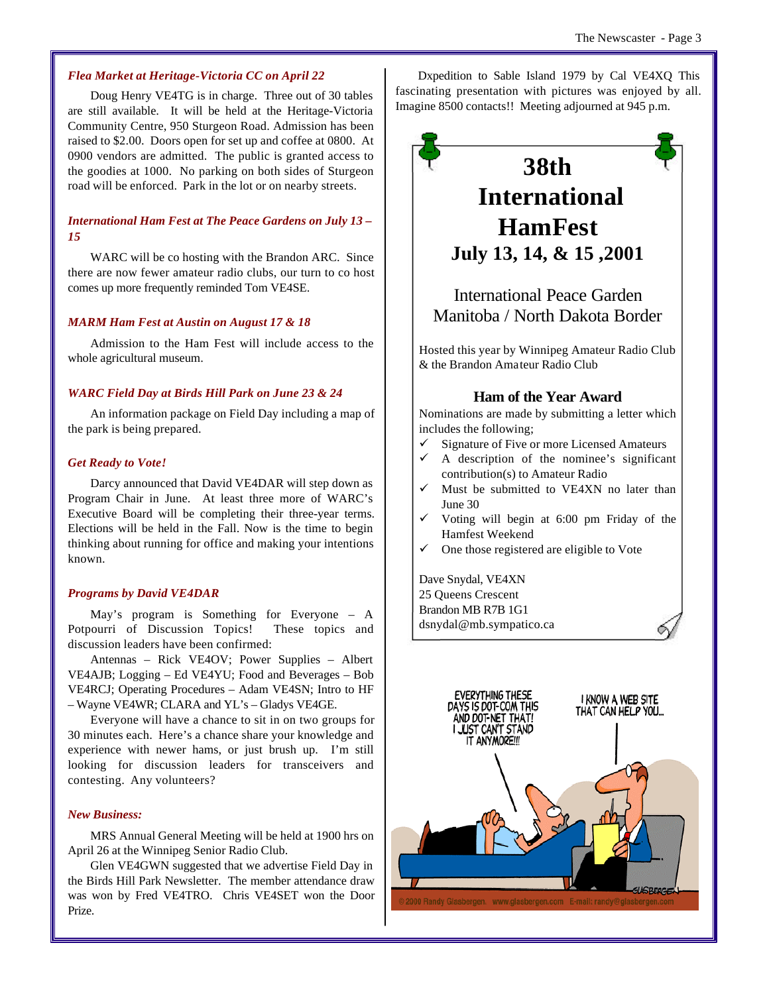#### *Flea Market at Heritage-Victoria CC on April 22*

Doug Henry VE4TG is in charge. Three out of 30 tables are still available. It will be held at the Heritage-Victoria Community Centre, 950 Sturgeon Road. Admission has been raised to \$2.00. Doors open for set up and coffee at 0800. At 0900 vendors are admitted. The public is granted access to the goodies at 1000. No parking on both sides of Sturgeon road will be enforced. Park in the lot or on nearby streets.

#### *International Ham Fest at The Peace Gardens on July 13 – 15*

WARC will be co hosting with the Brandon ARC. Since there are now fewer amateur radio clubs, our turn to co host comes up more frequently reminded Tom VE4SE.

#### *MARM Ham Fest at Austin on August 17 & 18*

Admission to the Ham Fest will include access to the whole agricultural museum.

#### *WARC Field Day at Birds Hill Park on June 23 & 24*

An information package on Field Day including a map of the park is being prepared.

#### *Get Ready to Vote!*

Darcy announced that David VE4DAR will step down as Program Chair in June. At least three more of WARC's Executive Board will be completing their three-year terms. Elections will be held in the Fall. Now is the time to begin thinking about running for office and making your intentions known.

#### *Programs by David VE4DAR*

May's program is Something for Everyone – A Potpourri of Discussion Topics! These topics and discussion leaders have been confirmed:

Antennas – Rick VE4OV; Power Supplies – Albert VE4AJB; Logging – Ed VE4YU; Food and Beverages – Bob VE4RCJ; Operating Procedures – Adam VE4SN; Intro to HF – Wayne VE4WR; CLARA and YL's – Gladys VE4GE.

Everyone will have a chance to sit in on two groups for 30 minutes each. Here's a chance share your knowledge and experience with newer hams, or just brush up. I'm still looking for discussion leaders for transceivers and contesting. Any volunteers?

#### *New Business:*

MRS Annual General Meeting will be held at 1900 hrs on April 26 at the Winnipeg Senior Radio Club.

Glen VE4GWN suggested that we advertise Field Day in the Birds Hill Park Newsletter. The member attendance draw was won by Fred VE4TRO. Chris VE4SET won the Door Prize.

Dxpedition to Sable Island 1979 by Cal VE4XQ This fascinating presentation with pictures was enjoyed by all. Imagine 8500 contacts!! Meeting adjourned at 945 p.m.

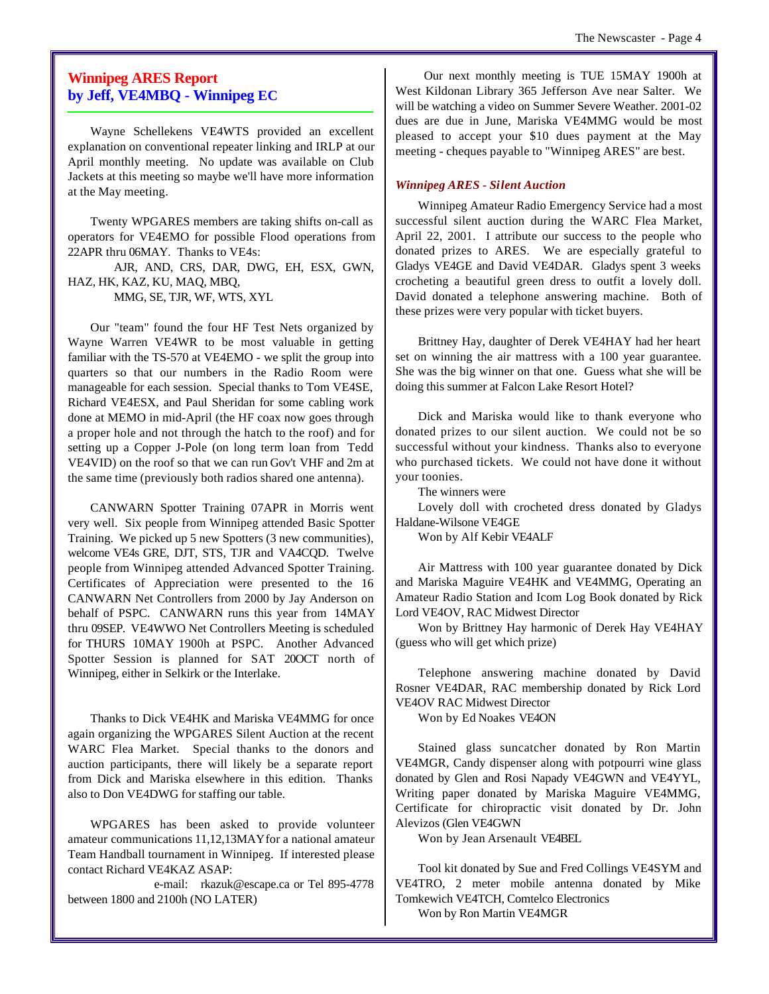## **Winnipeg ARES Report by Jeff, VE4MBQ - Winnipeg EC**

Wayne Schellekens VE4WTS provided an excellent explanation on conventional repeater linking and IRLP at our April monthly meeting. No update was available on Club Jackets at this meeting so maybe we'll have more information at the May meeting.

Twenty WPGARES members are taking shifts on-call as operators for VE4EMO for possible Flood operations from 22APR thru 06MAY. Thanks to VE4s:

AJR, AND, CRS, DAR, DWG, EH, ESX, GWN, HAZ, HK, KAZ, KU, MAQ, MBQ, MMG, SE, TJR, WF, WTS, XYL

Our "team" found the four HF Test Nets organized by Wayne Warren VE4WR to be most valuable in getting familiar with the TS-570 at VE4EMO - we split the group into quarters so that our numbers in the Radio Room were manageable for each session. Special thanks to Tom VE4SE, Richard VE4ESX, and Paul Sheridan for some cabling work done at MEMO in mid-April (the HF coax now goes through a proper hole and not through the hatch to the roof) and for setting up a Copper J-Pole (on long term loan from Tedd VE4VID) on the roof so that we can run Gov't VHF and 2m at the same time (previously both radios shared one antenna).

CANWARN Spotter Training 07APR in Morris went very well. Six people from Winnipeg attended Basic Spotter Training. We picked up 5 new Spotters (3 new communities), welcome VE4s GRE, DJT, STS, TJR and VA4CQD. Twelve people from Winnipeg attended Advanced Spotter Training. Certificates of Appreciation were presented to the 16 CANWARN Net Controllers from 2000 by Jay Anderson on behalf of PSPC. CANWARN runs this year from 14MAY thru 09SEP. VE4WWO Net Controllers Meeting is scheduled for THURS 10MAY 1900h at PSPC. Another Advanced Spotter Session is planned for SAT 20OCT north of Winnipeg, either in Selkirk or the Interlake.

Thanks to Dick VE4HK and Mariska VE4MMG for once again organizing the WPGARES Silent Auction at the recent WARC Flea Market. Special thanks to the donors and auction participants, there will likely be a separate report from Dick and Mariska elsewhere in this edition. Thanks also to Don VE4DWG for staffing our table.

WPGARES has been asked to provide volunteer amateur communications 11,12,13MAY for a national amateur Team Handball tournament in Winnipeg. If interested please contact Richard VE4KAZ ASAP:

 e-mail: rkazuk@escape.ca or Tel 895-4778 between 1800 and 2100h (NO LATER)

 Our next monthly meeting is TUE 15MAY 1900h at West Kildonan Library 365 Jefferson Ave near Salter. We will be watching a video on Summer Severe Weather. 2001-02 dues are due in June, Mariska VE4MMG would be most pleased to accept your \$10 dues payment at the May meeting - cheques payable to "Winnipeg ARES" are best.

#### *Winnipeg ARES - Silent Auction*

Winnipeg Amateur Radio Emergency Service had a most successful silent auction during the WARC Flea Market, April 22, 2001. I attribute our success to the people who donated prizes to ARES. We are especially grateful to Gladys VE4GE and David VE4DAR. Gladys spent 3 weeks crocheting a beautiful green dress to outfit a lovely doll. David donated a telephone answering machine. Both of these prizes were very popular with ticket buyers.

Brittney Hay, daughter of Derek VE4HAY had her heart set on winning the air mattress with a 100 year guarantee. She was the big winner on that one. Guess what she will be doing this summer at Falcon Lake Resort Hotel?

Dick and Mariska would like to thank everyone who donated prizes to our silent auction. We could not be so successful without your kindness. Thanks also to everyone who purchased tickets. We could not have done it without your toonies.

The winners were

Lovely doll with crocheted dress donated by Gladys Haldane-Wilsone VE4GE

Won by Alf Kebir VE4ALF

Air Mattress with 100 year guarantee donated by Dick and Mariska Maguire VE4HK and VE4MMG, Operating an Amateur Radio Station and Icom Log Book donated by Rick Lord VE4OV, RAC Midwest Director

Won by Brittney Hay harmonic of Derek Hay VE4HAY (guess who will get which prize)

Telephone answering machine donated by David Rosner VE4DAR, RAC membership donated by Rick Lord VE4OV RAC Midwest Director

Won by Ed Noakes VE4ON

Stained glass suncatcher donated by Ron Martin VE4MGR, Candy dispenser along with potpourri wine glass donated by Glen and Rosi Napady VE4GWN and VE4YYL, Writing paper donated by Mariska Maguire VE4MMG, Certificate for chiropractic visit donated by Dr. John Alevizos (Glen VE4GWN

Won by Jean Arsenault VE4BEL

Tool kit donated by Sue and Fred Collings VE4SYM and VE4TRO, 2 meter mobile antenna donated by Mike Tomkewich VE4TCH, Comtelco Electronics

Won by Ron Martin VE4MGR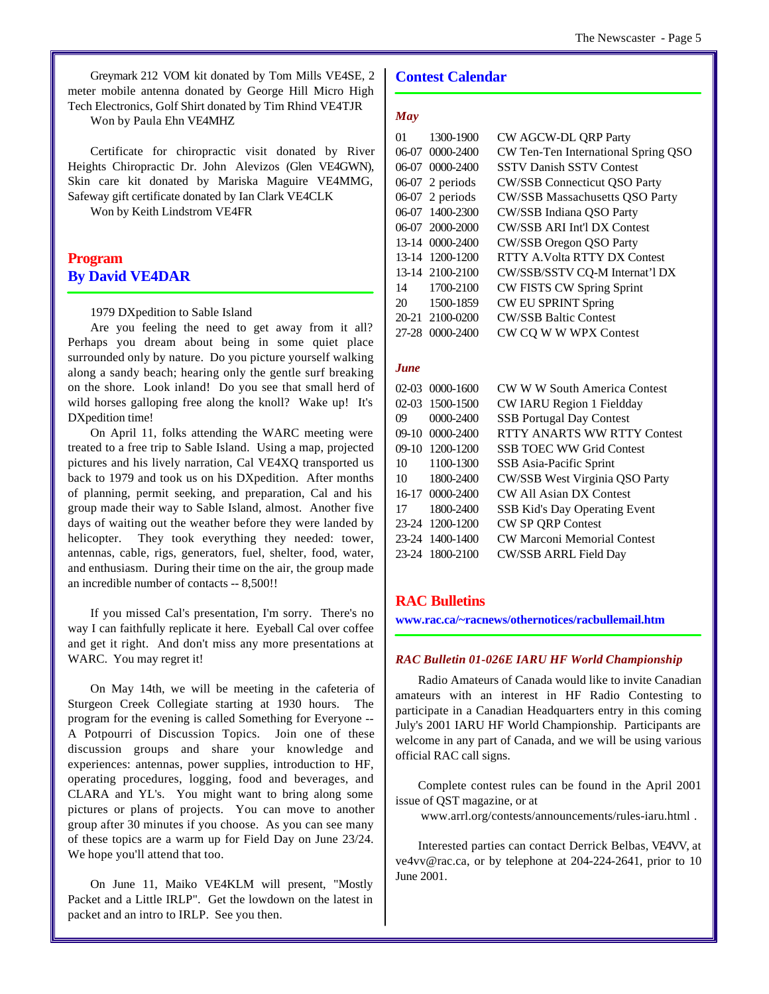Greymark 212 VOM kit donated by Tom Mills VE4SE, 2 meter mobile antenna donated by George Hill Micro High Tech Electronics, Golf Shirt donated by Tim Rhind VE4TJR

Won by Paula Ehn VE4MHZ

Certificate for chiropractic visit donated by River Heights Chiropractic Dr. John Alevizos (Glen VE4GWN), Skin care kit donated by Mariska Maguire VE4MMG, Safeway gift certificate donated by Ian Clark VE4CLK

Won by Keith Lindstrom VE4FR

## **Program By David VE4DAR**

#### 1979 DXpedition to Sable Island

Are you feeling the need to get away from it all? Perhaps you dream about being in some quiet place surrounded only by nature. Do you picture yourself walking along a sandy beach; hearing only the gentle surf breaking on the shore. Look inland! Do you see that small herd of wild horses galloping free along the knoll? Wake up! It's DXpedition time!

On April 11, folks attending the WARC meeting were treated to a free trip to Sable Island. Using a map, projected pictures and his lively narration, Cal VE4XQ transported us back to 1979 and took us on his DXpedition. After months of planning, permit seeking, and preparation, Cal and his group made their way to Sable Island, almost. Another five days of waiting out the weather before they were landed by helicopter. They took everything they needed: tower, antennas, cable, rigs, generators, fuel, shelter, food, water, and enthusiasm. During their time on the air, the group made an incredible number of contacts -- 8,500!!

If you missed Cal's presentation, I'm sorry. There's no way I can faithfully replicate it here. Eyeball Cal over coffee and get it right. And don't miss any more presentations at WARC. You may regret it!

On May 14th, we will be meeting in the cafeteria of Sturgeon Creek Collegiate starting at 1930 hours. The program for the evening is called Something for Everyone -- A Potpourri of Discussion Topics. Join one of these discussion groups and share your knowledge and experiences: antennas, power supplies, introduction to HF, operating procedures, logging, food and beverages, and CLARA and YL's. You might want to bring along some pictures or plans of projects. You can move to another group after 30 minutes if you choose. As you can see many of these topics are a warm up for Field Day on June 23/24. We hope you'll attend that too.

On June 11, Maiko VE4KLM will present, "Mostly Packet and a Little IRLP". Get the lowdown on the latest in packet and an intro to IRLP. See you then.

### **Contest Calendar**

#### *May*

| $\Omega$ 1 | 1300-1900         | CW AGCW-DL QRP Party                |
|------------|-------------------|-------------------------------------|
|            | 06-07 0000-2400   | CW Ten-Ten International Spring QSO |
|            | 06-07 0000-2400   | <b>SSTV Danish SSTV Contest</b>     |
|            | $06-07$ 2 periods | <b>CW/SSB Connecticut OSO Party</b> |
|            | $06-07$ 2 periods | CW/SSB Massachusetts QSO Party      |
|            | 06-07 1400-2300   | CW/SSB Indiana QSO Party            |
|            | 06-07 2000-2000   | <b>CW/SSB ARI Int'l DX Contest</b>  |
|            | 13-14 0000-2400   | <b>CW/SSB Oregon OSO Party</b>      |
|            | 13-14 1200-1200   | RTTY A.Volta RTTY DX Contest        |
|            | 13-14 2100-2100   | CW/SSB/SSTV CQ-M Internat'l DX      |
| 14         | 1700-2100         | <b>CW FISTS CW Spring Sprint</b>    |
| 20         | 1500-1859         | <b>CW EU SPRINT Spring</b>          |
|            | 20-21 2100-0200   | <b>CW/SSB Baltic Contest</b>        |
|            | 27-28 0000-2400   | CW CQ W W WPX Contest               |

#### *June*

|       | 02-03 0000-1600 | CW W W South America Contest       |
|-------|-----------------|------------------------------------|
|       | 02-03 1500-1500 | CW IARU Region 1 Fieldday          |
| 09    | 0000-2400       | <b>SSB</b> Portugal Day Contest    |
|       | 09-10 0000-2400 | <b>RTTY ANARTS WW RTTY Contest</b> |
| 09-10 | 1200-1200       | <b>SSB TOEC WW Grid Contest</b>    |
| 10    | 1100-1300       | SSB Asia-Pacific Sprint            |
| 10    | 1800-2400       | CW/SSB West Virginia QSO Party     |
|       | 16-17 0000-2400 | CW All Asian DX Contest            |
| 17    | 1800-2400       | SSB Kid's Day Operating Event      |
|       | 23-24 1200-1200 | <b>CW SP QRP Contest</b>           |
|       | 23-24 1400-1400 | <b>CW Marconi Memorial Contest</b> |
|       | 23-24 1800-2100 | <b>CW/SSB ARRL Field Day</b>       |

## **RAC Bulletins**

**www.rac.ca/~racnews/othernotices/racbullemail.htm**

#### *RAC Bulletin 01-026E IARU HF World Championship*

Radio Amateurs of Canada would like to invite Canadian amateurs with an interest in HF Radio Contesting to participate in a Canadian Headquarters entry in this coming July's 2001 IARU HF World Championship. Participants are welcome in any part of Canada, and we will be using various official RAC call signs.

Complete contest rules can be found in the April 2001 issue of QST magazine, or at

www.arrl.org/contests/announcements/rules-iaru.html .

Interested parties can contact Derrick Belbas, VE4VV, at ve4vv@rac.ca, or by telephone at 204-224-2641, prior to 10 June 2001.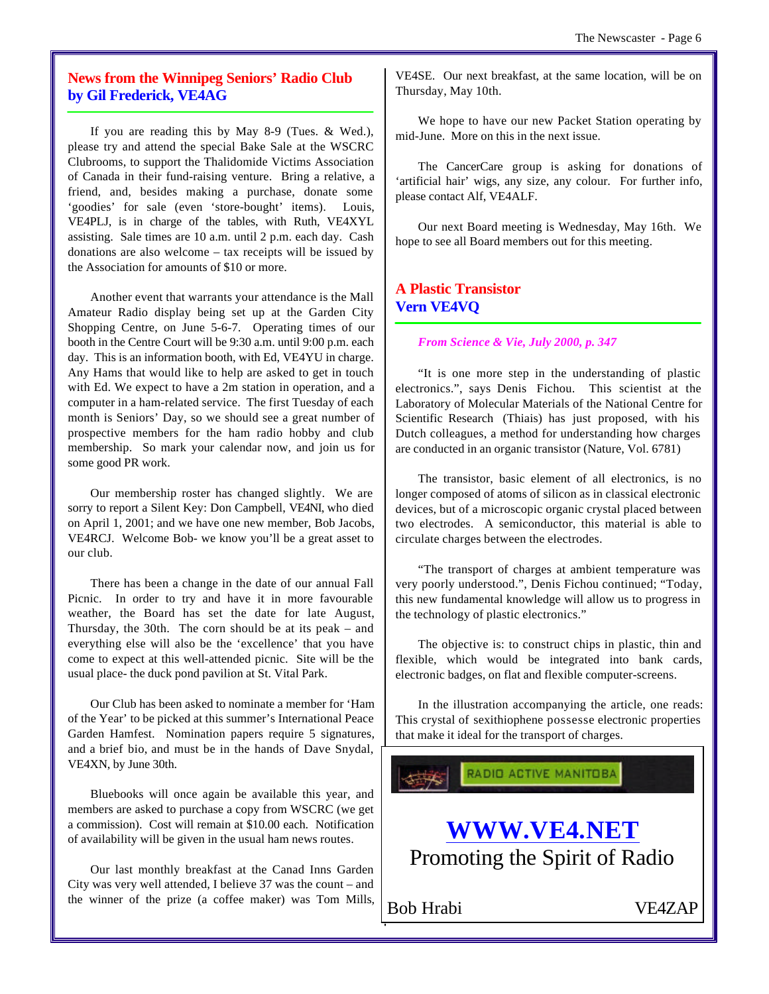## **News from the Winnipeg Seniors' Radio Club by Gil Frederick, VE4AG**

If you are reading this by May 8-9 (Tues. & Wed.), please try and attend the special Bake Sale at the WSCRC Clubrooms, to support the Thalidomide Victims Association of Canada in their fund-raising venture. Bring a relative, a friend, and, besides making a purchase, donate some 'goodies' for sale (even 'store-bought' items). Louis, VE4PLJ, is in charge of the tables, with Ruth, VE4XYL assisting. Sale times are 10 a.m. until 2 p.m. each day. Cash donations are also welcome – tax receipts will be issued by the Association for amounts of \$10 or more.

Another event that warrants your attendance is the Mall Amateur Radio display being set up at the Garden City Shopping Centre, on June 5-6-7. Operating times of our booth in the Centre Court will be 9:30 a.m. until 9:00 p.m. each day. This is an information booth, with Ed, VE4YU in charge. Any Hams that would like to help are asked to get in touch with Ed. We expect to have a 2m station in operation, and a computer in a ham-related service. The first Tuesday of each month is Seniors' Day, so we should see a great number of prospective members for the ham radio hobby and club membership. So mark your calendar now, and join us for some good PR work.

Our membership roster has changed slightly. We are sorry to report a Silent Key: Don Campbell, VE4NI, who died on April 1, 2001; and we have one new member, Bob Jacobs, VE4RCJ. Welcome Bob- we know you'll be a great asset to our club.

There has been a change in the date of our annual Fall Picnic. In order to try and have it in more favourable weather, the Board has set the date for late August, Thursday, the 30th. The corn should be at its peak – and everything else will also be the 'excellence' that you have come to expect at this well-attended picnic. Site will be the usual place- the duck pond pavilion at St. Vital Park.

Our Club has been asked to nominate a member for 'Ham of the Year' to be picked at this summer's International Peace Garden Hamfest. Nomination papers require 5 signatures, and a brief bio, and must be in the hands of Dave Snydal, VE4XN, by June 30th.

Bluebooks will once again be available this year, and members are asked to purchase a copy from WSCRC (we get a commission). Cost will remain at \$10.00 each. Notification of availability will be given in the usual ham news routes.

Our last monthly breakfast at the Canad Inns Garden City was very well attended, I believe 37 was the count – and the winner of the prize (a coffee maker) was Tom Mills,

VE4SE. Our next breakfast, at the same location, will be on Thursday, May 10th.

We hope to have our new Packet Station operating by mid-June. More on this in the next issue.

The CancerCare group is asking for donations of 'artificial hair' wigs, any size, any colour. For further info, please contact Alf, VE4ALF.

Our next Board meeting is Wednesday, May 16th. We hope to see all Board members out for this meeting.

## **A Plastic Transistor Vern VE4VQ**

*From Science & Vie, July 2000, p. 347*

"It is one more step in the understanding of plastic electronics.", says Denis Fichou. This scientist at the Laboratory of Molecular Materials of the National Centre for Scientific Research (Thiais) has just proposed, with his Dutch colleagues, a method for understanding how charges are conducted in an organic transistor (Nature, Vol. 6781)

The transistor, basic element of all electronics, is no longer composed of atoms of silicon as in classical electronic devices, but of a microscopic organic crystal placed between two electrodes. A semiconductor, this material is able to circulate charges between the electrodes.

"The transport of charges at ambient temperature was very poorly understood.", Denis Fichou continued; "Today, this new fundamental knowledge will allow us to progress in the technology of plastic electronics."

The objective is: to construct chips in plastic, thin and flexible, which would be integrated into bank cards, electronic badges, on flat and flexible computer-screens.

In the illustration accompanying the article, one reads: This crystal of sexithiophene possesse electronic properties that make it ideal for the transport of charges.

RADIO ACTIVE MANITOBA



Bob Hrabi VE4ZAP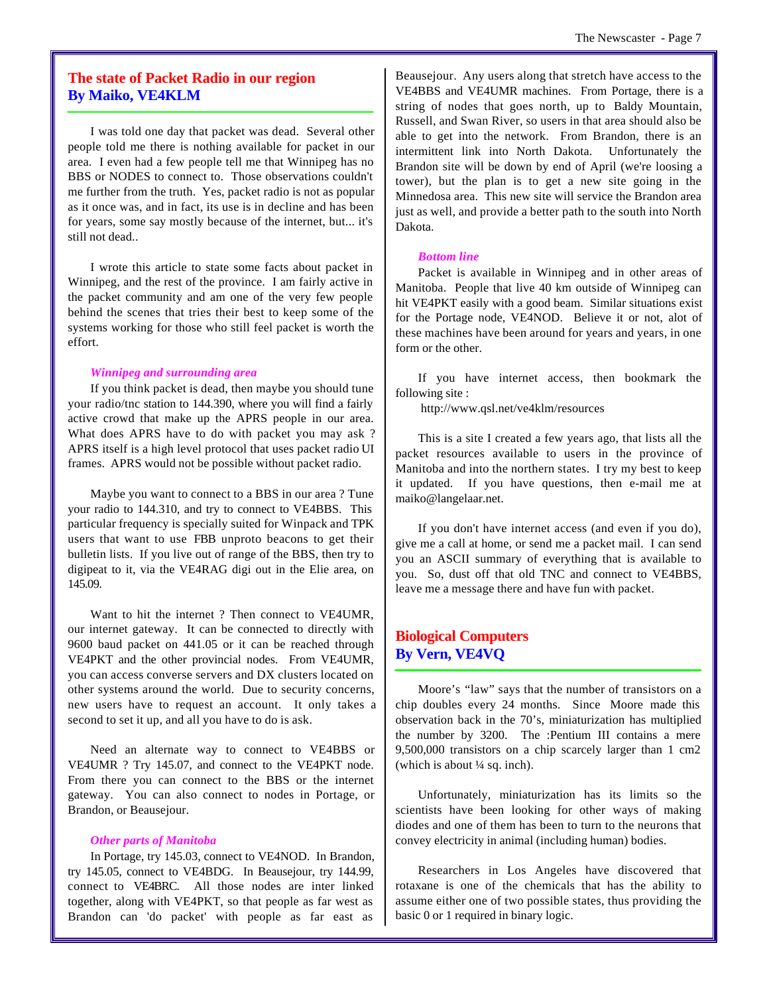## **The state of Packet Radio in our region By Maiko, VE4KLM**

I was told one day that packet was dead. Several other people told me there is nothing available for packet in our area. I even had a few people tell me that Winnipeg has no BBS or NODES to connect to. Those observations couldn't me further from the truth. Yes, packet radio is not as popular as it once was, and in fact, its use is in decline and has been for years, some say mostly because of the internet, but... it's still not dead..

I wrote this article to state some facts about packet in Winnipeg, and the rest of the province. I am fairly active in the packet community and am one of the very few people behind the scenes that tries their best to keep some of the systems working for those who still feel packet is worth the effort.

#### *Winnipeg and surrounding area*

If you think packet is dead, then maybe you should tune your radio/tnc station to 144.390, where you will find a fairly active crowd that make up the APRS people in our area. What does APRS have to do with packet you may ask ? APRS itself is a high level protocol that uses packet radio UI frames. APRS would not be possible without packet radio.

Maybe you want to connect to a BBS in our area ? Tune your radio to 144.310, and try to connect to VE4BBS. This particular frequency is specially suited for Winpack and TPK users that want to use FBB unproto beacons to get their bulletin lists. If you live out of range of the BBS, then try to digipeat to it, via the VE4RAG digi out in the Elie area, on 145.09.

Want to hit the internet ? Then connect to VE4UMR, our internet gateway. It can be connected to directly with 9600 baud packet on 441.05 or it can be reached through VE4PKT and the other provincial nodes. From VE4UMR, you can access converse servers and DX clusters located on other systems around the world. Due to security concerns, new users have to request an account. It only takes a second to set it up, and all you have to do is ask.

Need an alternate way to connect to VE4BBS or VE4UMR ? Try 145.07, and connect to the VE4PKT node. From there you can connect to the BBS or the internet gateway. You can also connect to nodes in Portage, or Brandon, or Beausejour.

#### *Other parts of Manitoba*

In Portage, try 145.03, connect to VE4NOD. In Brandon, try 145.05, connect to VE4BDG. In Beausejour, try 144.99, connect to VE4BRC. All those nodes are inter linked together, along with VE4PKT, so that people as far west as Brandon can 'do packet' with people as far east as

Beausejour. Any users along that stretch have access to the VE4BBS and VE4UMR machines. From Portage, there is a string of nodes that goes north, up to Baldy Mountain, Russell, and Swan River, so users in that area should also be able to get into the network. From Brandon, there is an intermittent link into North Dakota. Unfortunately the Brandon site will be down by end of April (we're loosing a tower), but the plan is to get a new site going in the Minnedosa area. This new site will service the Brandon area just as well, and provide a better path to the south into North Dakota.

#### *Bottom line*

Packet is available in Winnipeg and in other areas of Manitoba. People that live 40 km outside of Winnipeg can hit VE4PKT easily with a good beam. Similar situations exist for the Portage node, VE4NOD. Believe it or not, alot of these machines have been around for years and years, in one form or the other.

If you have internet access, then bookmark the following site :

http://www.qsl.net/ve4klm/resources

This is a site I created a few years ago, that lists all the packet resources available to users in the province of Manitoba and into the northern states. I try my best to keep it updated. If you have questions, then e-mail me at maiko@langelaar.net.

If you don't have internet access (and even if you do), give me a call at home, or send me a packet mail. I can send you an ASCII summary of everything that is available to you. So, dust off that old TNC and connect to VE4BBS, leave me a message there and have fun with packet.

## **Biological Computers By Vern, VE4VQ**

Moore's "law" says that the number of transistors on a chip doubles every 24 months. Since Moore made this observation back in the 70's, miniaturization has multiplied the number by 3200. The :Pentium III contains a mere 9,500,000 transistors on a chip scarcely larger than 1 cm2 (which is about  $\frac{1}{4}$  sq. inch).

Unfortunately, miniaturization has its limits so the scientists have been looking for other ways of making diodes and one of them has been to turn to the neurons that convey electricity in animal (including human) bodies.

Researchers in Los Angeles have discovered that rotaxane is one of the chemicals that has the ability to assume either one of two possible states, thus providing the basic 0 or 1 required in binary logic.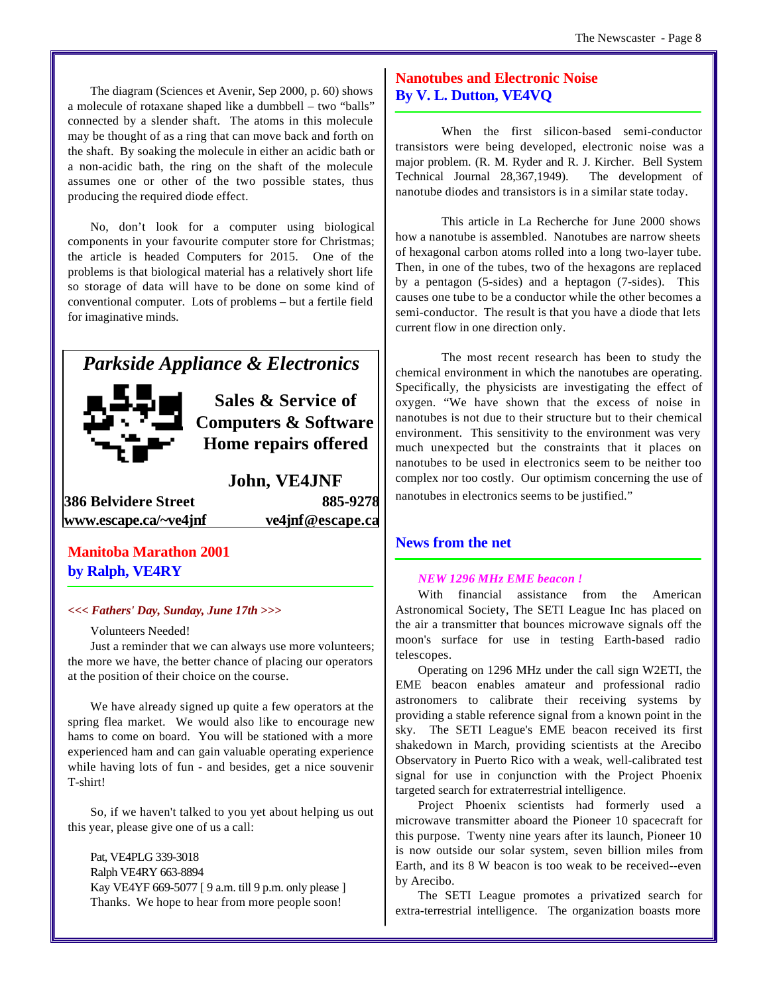The diagram (Sciences et Avenir, Sep 2000, p. 60) shows a molecule of rotaxane shaped like a dumbbell – two "balls" connected by a slender shaft. The atoms in this molecule may be thought of as a ring that can move back and forth on the shaft. By soaking the molecule in either an acidic bath or a non-acidic bath, the ring on the shaft of the molecule assumes one or other of the two possible states, thus producing the required diode effect.

No, don't look for a computer using biological components in your favourite computer store for Christmas; the article is headed Computers for 2015. One of the problems is that biological material has a relatively short life so storage of data will have to be done on some kind of conventional computer. Lots of problems – but a fertile field for imaginative minds.

## *Parkside Appliance & Electronics*



**Sales & Service of Computers & Software Home repairs offered**

**John, VE4JNF 386 Belvidere Street 885-9278 www.escape.ca/~ve4jnf ve4jnf@escape.ca**

## **Manitoba Marathon 2001 by Ralph, VE4RY**

#### *<<< Fathers' Day, Sunday, June 17th >>>*

Volunteers Needed!

Just a reminder that we can always use more volunteers; the more we have, the better chance of placing our operators at the position of their choice on the course.

We have already signed up quite a few operators at the spring flea market. We would also like to encourage new hams to come on board. You will be stationed with a more experienced ham and can gain valuable operating experience while having lots of fun - and besides, get a nice souvenir T-shirt!

So, if we haven't talked to you yet about helping us out this year, please give one of us a call:

Pat, VE4PLG 339-3018 Ralph VE4RY 663-8894 Kay VE4YF 669-5077 [ 9 a.m. till 9 p.m. only please ] Thanks. We hope to hear from more people soon!

## **Nanotubes and Electronic Noise By V. L. Dutton, VE4VQ**

When the first silicon-based semi-conductor transistors were being developed, electronic noise was a major problem. (R. M. Ryder and R. J. Kircher. Bell System Technical Journal 28,367,1949). The development of nanotube diodes and transistors is in a similar state today.

This article in La Recherche for June 2000 shows how a nanotube is assembled. Nanotubes are narrow sheets of hexagonal carbon atoms rolled into a long two-layer tube. Then, in one of the tubes, two of the hexagons are replaced by a pentagon (5-sides) and a heptagon (7-sides). This causes one tube to be a conductor while the other becomes a semi-conductor. The result is that you have a diode that lets current flow in one direction only.

The most recent research has been to study the chemical environment in which the nanotubes are operating. Specifically, the physicists are investigating the effect of oxygen. "We have shown that the excess of noise in nanotubes is not due to their structure but to their chemical environment. This sensitivity to the environment was very much unexpected but the constraints that it places on nanotubes to be used in electronics seem to be neither too complex nor too costly. Our optimism concerning the use of nanotubes in electronics seems to be justified."

## **News from the net**

#### *NEW 1296 MHz EME beacon !*

With financial assistance from the American Astronomical Society, The SETI League Inc has placed on the air a transmitter that bounces microwave signals off the moon's surface for use in testing Earth-based radio telescopes.

Operating on 1296 MHz under the call sign W2ETI, the EME beacon enables amateur and professional radio astronomers to calibrate their receiving systems by providing a stable reference signal from a known point in the sky. The SETI League's EME beacon received its first shakedown in March, providing scientists at the Arecibo Observatory in Puerto Rico with a weak, well-calibrated test signal for use in conjunction with the Project Phoenix targeted search for extraterrestrial intelligence.

Project Phoenix scientists had formerly used a microwave transmitter aboard the Pioneer 10 spacecraft for this purpose. Twenty nine years after its launch, Pioneer 10 is now outside our solar system, seven billion miles from Earth, and its 8 W beacon is too weak to be received--even by Arecibo.

The SETI League promotes a privatized search for extra-terrestrial intelligence. The organization boasts more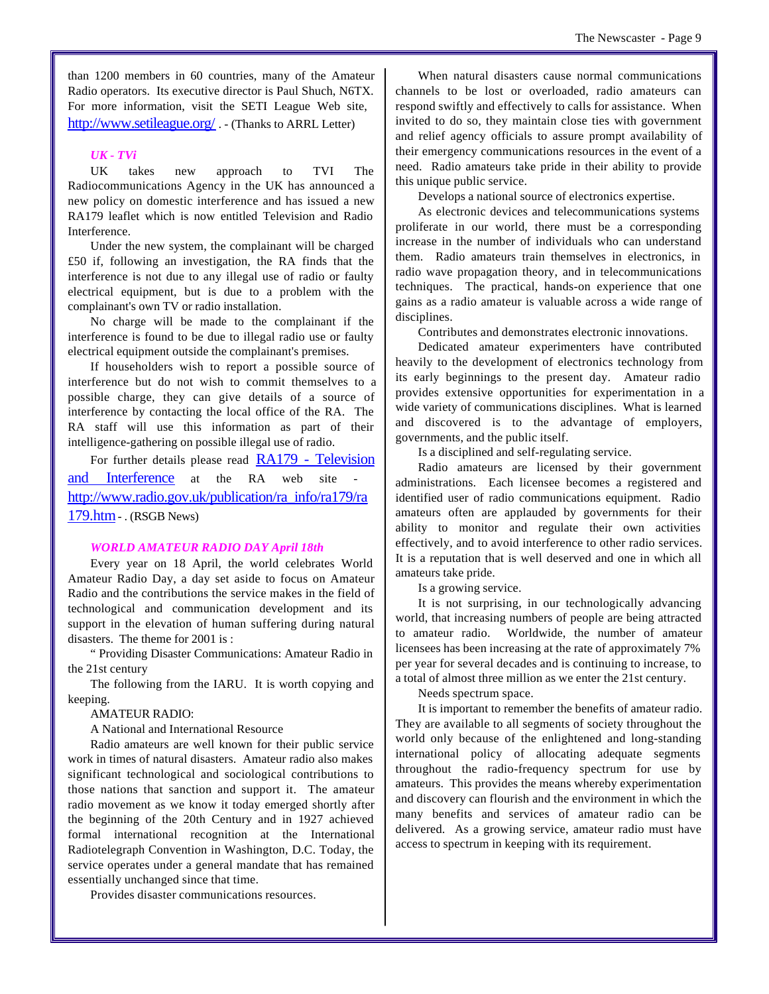than 1200 members in 60 countries, many of the Amateur Radio operators. Its executive director is Paul Shuch, N6TX. For more information, visit the SETI League Web site, http://www.setileague.org/ . - (Thanks to ARRL Letter)

#### *UK - TVi*

UK takes new approach to TVI The Radiocommunications Agency in the UK has announced a new policy on domestic interference and has issued a new RA179 leaflet which is now entitled Television and Radio Interference.

Under the new system, the complainant will be charged £50 if, following an investigation, the RA finds that the interference is not due to any illegal use of radio or faulty electrical equipment, but is due to a problem with the complainant's own TV or radio installation.

No charge will be made to the complainant if the interference is found to be due to illegal radio use or faulty electrical equipment outside the complainant's premises.

If householders wish to report a possible source of interference but do not wish to commit themselves to a possible charge, they can give details of a source of interference by contacting the local office of the RA. The RA staff will use this information as part of their intelligence-gathering on possible illegal use of radio.

For further details please read RA179 - Television and Interference at the RA web site http://www.radio.gov.uk/publication/ra\_info/ra179/ra 179.htm - . (RSGB News)

#### *WORLD AMATEUR RADIO DAY April 18th*

Every year on 18 April, the world celebrates World Amateur Radio Day, a day set aside to focus on Amateur Radio and the contributions the service makes in the field of technological and communication development and its support in the elevation of human suffering during natural disasters. The theme for 2001 is :

" Providing Disaster Communications: Amateur Radio in the 21st century

The following from the IARU. It is worth copying and keeping.

AMATEUR RADIO:

A National and International Resource

Radio amateurs are well known for their public service work in times of natural disasters. Amateur radio also makes significant technological and sociological contributions to those nations that sanction and support it. The amateur radio movement as we know it today emerged shortly after the beginning of the 20th Century and in 1927 achieved formal international recognition at the International Radiotelegraph Convention in Washington, D.C. Today, the service operates under a general mandate that has remained essentially unchanged since that time.

Provides disaster communications resources.

When natural disasters cause normal communications channels to be lost or overloaded, radio amateurs can respond swiftly and effectively to calls for assistance. When invited to do so, they maintain close ties with government and relief agency officials to assure prompt availability of their emergency communications resources in the event of a need. Radio amateurs take pride in their ability to provide this unique public service.

Develops a national source of electronics expertise.

As electronic devices and telecommunications systems proliferate in our world, there must be a corresponding increase in the number of individuals who can understand them. Radio amateurs train themselves in electronics, in radio wave propagation theory, and in telecommunications techniques. The practical, hands-on experience that one gains as a radio amateur is valuable across a wide range of disciplines.

Contributes and demonstrates electronic innovations.

Dedicated amateur experimenters have contributed heavily to the development of electronics technology from its early beginnings to the present day. Amateur radio provides extensive opportunities for experimentation in a wide variety of communications disciplines. What is learned and discovered is to the advantage of employers, governments, and the public itself.

Is a disciplined and self-regulating service.

Radio amateurs are licensed by their government administrations. Each licensee becomes a registered and identified user of radio communications equipment. Radio amateurs often are applauded by governments for their ability to monitor and regulate their own activities effectively, and to avoid interference to other radio services. It is a reputation that is well deserved and one in which all amateurs take pride.

Is a growing service.

It is not surprising, in our technologically advancing world, that increasing numbers of people are being attracted to amateur radio. Worldwide, the number of amateur licensees has been increasing at the rate of approximately 7% per year for several decades and is continuing to increase, to a total of almost three million as we enter the 21st century.

Needs spectrum space.

It is important to remember the benefits of amateur radio. They are available to all segments of society throughout the world only because of the enlightened and long-standing international policy of allocating adequate segments throughout the radio-frequency spectrum for use by amateurs. This provides the means whereby experimentation and discovery can flourish and the environment in which the many benefits and services of amateur radio can be delivered. As a growing service, amateur radio must have access to spectrum in keeping with its requirement.